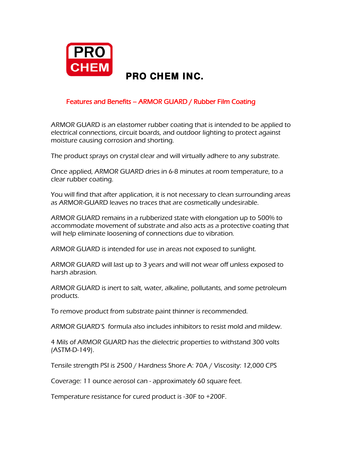

## *Features and Benefits – ARMOR GUARD / Rubber Film Coating*

*ARMOR GUARD is an elastomer rubber coating that is intended to be applied to electrical connections, circuit boards, and outdoor lighting to protect against moisture causing corrosion and shorting.*

*The product sprays on crystal clear and will virtually adhere to any substrate.*

*Once applied, ARMOR GUARD dries in 6-8 minutes at room temperature, to a clear rubber coating.*

*You will find that after application, it is not necessary to clean surrounding areas as ARMOR-GUARD leaves no traces that are cosmetically undesirable.* 

*ARMOR GUARD remains in a rubberized state with elongation up to 500% to accommodate movement of substrate and also acts as a protective coating that will help eliminate loosening of connections due to vibration.*

*ARMOR GUARD is intended for use in areas not exposed to sunlight.*

*ARMOR GUARD will last up to 3 years and will not wear off unless exposed to harsh abrasion.*

*ARMOR GUARD is inert to salt, water, alkaline, pollutants, and some petroleum products.* 

*To remove product from substrate paint thinner is recommended.*

*ARMOR GUARD'S formula also includes inhibitors to resist mold and mildew.*

*4 Mils of ARMOR GUARD has the dielectric properties to withstand 300 volts (ASTM-D-149).* 

*Tensile strength PSI is 2500 / Hardness Shore A: 70A / Viscosity: 12,000 CPS*

*Coverage: 11 ounce aerosol can - approximately 60 square feet.*

*Temperature resistance for cured product is -30F to +200F.*